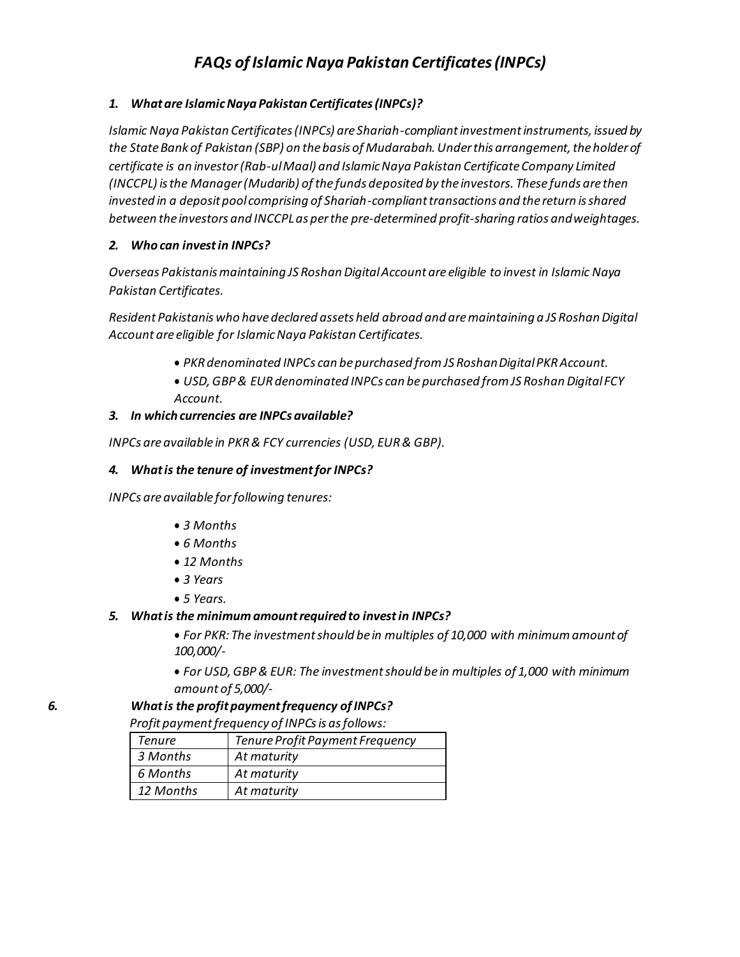# **FAQs** of *Islamic* Naya *Pakistan Certificates* (INPCs)

# *1. Whatare IslamicNaya Pakistan Certificates(INPCs)?*

*Islamic Naya Pakistan Certificates (INPCs) are Shariah-compliant investment instruments, issued by the State Bank of Pakistan (SBP) on the basis of Mudarabah. Under this arrangement, the holder of certificate is an investor (Rab-ul Maal) and Islamic Naya Pakistan Certificate Company Limited (INCCPL) is the Manager (Mudarib) of the funds deposited by the investors. These funds are then invested in a deposit pool comprising of Shariah-compliant transactions and the return is shared between the investors and INCCPLas per the pre-determined profit-sharing ratios andweightages.*

## *2. Who can investin INPCs?*

*Overseas Pakistanis maintaining JS Roshan Digital Account are eligible to invest in Islamic Naya Pakistan Certificates.*

*Resident Pakistanis who have declared assets held abroad and are maintaining a JS Roshan Digital Account are eligible for IslamicNaya Pakistan Certificates.*

- *PKRdenominated INPCs can bepurchased fromJS RoshanDigitalPKR Account.*
- *USD, GBP & EUR denominated INPCs can be purchased from JS Roshan Digital FCY*
- *Account.*

## *3. In which currencies are INPCs available?*

*INPCs areavailable in PKR& FCY currencies (USD, EUR& GBP).*

## *4. Whatis the tenure of investmentfor INPCs?*

*INPCs areavailable forfollowing tenures:*

- *3 Months*
- *6 Months*
- *12 Months*
- *3 Years*
- *5 Years.*

#### *5. Whatis the minimum amountrequired to investin INPCs?*

• *For PKR: The investment should be in multiples of 10,000 with minimum amount of 100,000/-*

• *For USD, GBP & EUR: The investment should be in multiples of 1,000 with minimum amount of 5,000/-*

#### *6. Whatis the profitpaymentfrequency ofINPCs?*

*Profit paymentfrequency of INPCsis asfollows:*

| Tenure    | Tenure Profit Payment Frequency |
|-----------|---------------------------------|
| 3 Months  | At maturity                     |
| 6 Months  | At maturity                     |
| 12 Months | At maturity                     |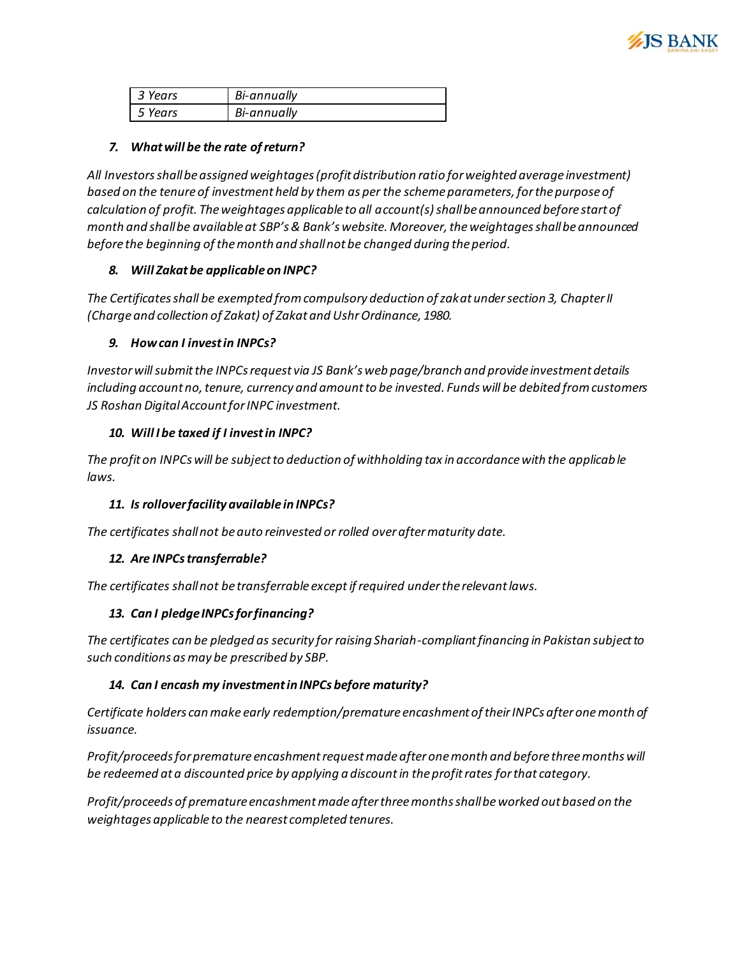

| 3 Years | Bi-annually |
|---------|-------------|
| 5 Years | Bi-annually |

# *7. Whatwill be the rate ofreturn?*

*All Investors shall be assigned weightages (profit distribution ratio for weighted average investment) based on the tenure of investment held by them as per the scheme parameters, for the purpose of calculation of profit. The weightages applicable to all account(s) shall be announced before start of month and shall be available at SBP's & Bank's website. Moreover, the weightages shall be announced before the beginning ofthemonth and shallnot be changed during the period.*

## *8. Will Zakatbe applicableon INPC?*

*The Certificates shall be exempted from compulsory deduction of zakat under section 3, Chapter II (Charge and collection of Zakat) of Zakat and UshrOrdinance, 1980.*

## *9. Howcan I investin INPCs?*

*Investor will submit the INPCs request via JS Bank's web page/branch and provide investment details including account no, tenure, currency and amount to be invested. Funds will be debited from customers JS Roshan DigitalAccount for INPC investment.*

# *10. Will I be taxed if I investin INPC?*

*The profit on INPCs will be subject to deduction of withholding tax in accordance with the applicable laws.*

# *11. Is rolloverfacility available in INPCs?*

*The certificates shallnot beauto reinvested or rolled overaftermaturity date.*

#### *12. Are INPCstransferrable?*

*The certificates shallnot be transferrable exceptifrequired underthe relevantlaws.*

# *13. Can I pledgeINPCsforfinancing?*

*The certificates can be pledged as security for raising Shariah-compliant financing in Pakistan subject to such conditions as may be prescribed by SBP.*

# *14. Can I encash my investmentin INPCs before maturity?*

*Certificate holders can make early redemption/premature encashment of their INPCs after one month of issuance.*

*Profit/proceeds for premature encashment request made after one month and before three months will be redeemed at a discounted price by applying a discountin the profitrates for that category.*

*Profit/proceeds of premature encashment made after three months shall be worked out based on the weightages applicable to the nearest completed tenures.*